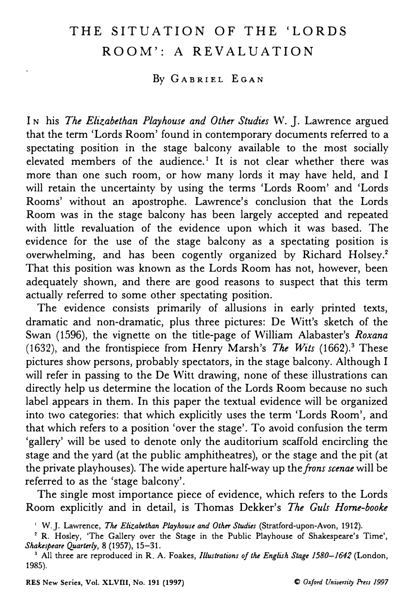# THE SITUATION OF THE 'LORDS ROOM': A REVALUATION

# By GABRIEL EGAN

IN his The Elizabethan Playhouse and Other Studies W. J. Lawrence argued that the term 'Lords Room' found in contemporary documents referred to a spectating position in the stage balcony available to the most socially elevated members of the audience.<sup>1</sup> It is not clear whether there was more than one such room, or how many lords it may have held, and I will retain the uncertainty by using the terms 'Lords Room' and 'Lords Rooms' without an apostrophe. Lawrence's conclusion that the Lords Room was in the stage balcony has been largely accepted and repeated with little revaluation of the evidence upon which it was based. The evidence for the use of the stage balcony as a spectating position is overwhelming, and has been cogently organized by Richard Holsey.<sup>2</sup> That this position was known as the Lords Room has not, however, been adequately shown, and there are good reasons to suspect that this term actually referred to some other spectating position.

The evidence consists primarily of allusions in early printed texts, dramatic and non-dramatic, plus three pictures: De Witt's sketch of the Swan (1596), the vignette on the title-page of William Alabaster's Roxana (1632), and the frontispiece from Henry Marsh's The Wits (1662).<sup>3</sup> These pictures show persons, probably spectators, in the stage balcony. Although I will refer in passing to the De Witt drawing, none of these illustrations can directly help us determine the location of the Lords Room because no such label appears in them. In this paper the textual evidence will be organized into two categories: that which explicitly uses the term 'Lords Room', and that which refers to a position 'over the stage'. To avoid confusion the term 'gallery' will be used to denote only the auditorium scaffold encircling the stage and the yard (at the public amphitheatres), or the stage and the pit (at the private playhouses). The wide aperture half-way up the frons scenae will be referred to as the 'stage balcony'.

The single most importance piece of evidence, which refers to the Lords Room explicitly and in detail, is Thomas Dekker's The Guls Home-booke

<sup>i</sup> W. J. Lawrence, *The Elizabethan Playhouse and Other Studies* (Stratford-upon-Avon, 1912).

' R. Hosley, 'The Gallery over the Stage in the Public Playhouse of Shakespeare's Time', Shakespeare Quarterly, 8 (1957), 15-31.

<sup>&</sup>lt;sup>3</sup> All three are reproduced in R. A. Foakes, Illustrations of the English Stage 1580-1642 (London, 1985).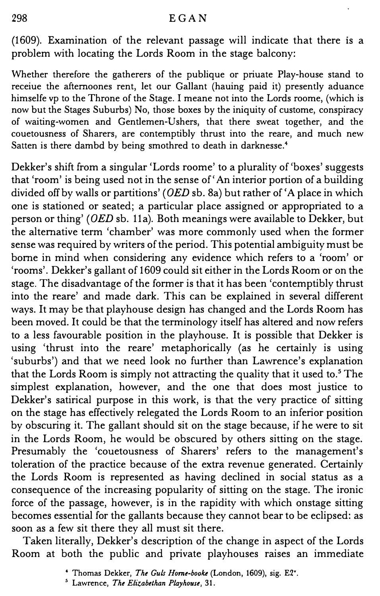(1609). Examination of the relevant passage will indicate that there is a problem with locating the Lords Room in the stage balcony:

Whether therefore the gatherers of the publique or priuate Play-house stand to receiue the afternoones rent, let our Gallant (hauing paid it) presently aduance himselfe vp to the Throne of the Stage. I meane not into the Lords roome, (which is now but the Stages Suburbs) No, those boxes by the iniquity of custome, conspiracy of waiting-women and Gentlemen-Ushers, that there sweat together, and the couetousness of Sharers, are contemptibly thrust into the reare, and much new Satten is there dambd by being smothred to death in darknesse.<sup>4</sup>

Dekker's shift from a singular 'Lords roome' to a plurality of 'boxes' suggests that 'room' is being used not in the sense of 'An interior portion of a building divided off by walls or partitions' (OED sb. 8a) but rather of 'A place in which one is stationed or seated; a particular place assigned or appropriated to a person or thing' (OED sb. 11a). Both meanings were available to Dekker, but the alternative term 'chamber' was more commonly used when the former sense was required by writers of the period. This potential ambiguity must be borne in mind when considering any evidence which refers to a 'room' or 'rooms'. Dekker's gallant of 1609 could sit either in the Lords Room or on the stage. The disadvantage of the former is that it has been 'contemptibly thrust into the reare' and made dark. This can be explained in several different ways. It may be that playhouse design has changed and the Lords Room has been moved. It could be that the terminology itself has altered and now refers to a less favourable position in the playhouse. It is possible that Dekker is using 'thrust into the reare' metaphorically (as he certainly is using 'suburbs') and that we need look no further than Lawrence's explanation that the Lords Room is simply not attracting the quality that it used to.<sup>5</sup> The simplest explanation, however, and the one that does most justice to Dekker's satirical purpose in this work, is that the very practice of sitting on the stage has effectively relegated the Lords Room to an inferior position by obscuring it. The gallant should sit on the stage because, if he were to sit in the Lords Room, he would be obscured by others sitting on the stage. Presumably the 'couetousness of Sharers' refers to the management's toleration of the practice because of the extra revenue generated. Certainly the Lords Room is represented as having declined in social status as a consequence of the increasing popularity of sitting on the stage. The ironic force of the passage, however, is in the rapidity with which onstage sitting becomes essential for the gallants because they cannot bear to be eclipsed: as soon as a few sit there they all must sit there.

Taken literally, Dekker's description of the change in aspect of the Lords Room at both the public and private playhouses raises an immediate

<sup>&</sup>lt;sup>\*</sup> Thomas Dekker, The Guls Home-booke (London, 1609), sig. E2".

<sup>&</sup>lt;sup>5</sup> Lawrence, The Elizabethan Playhouse, 31.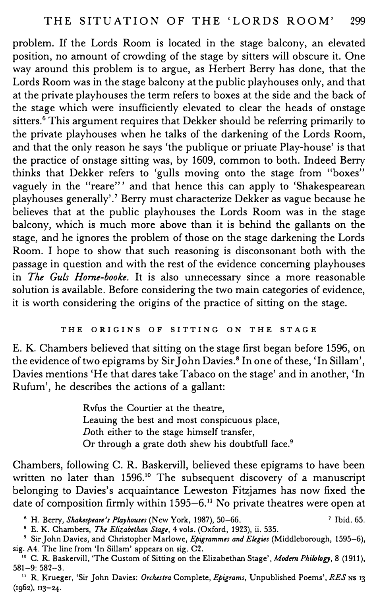problem. If the Lords Room is located in the stage balcony, an elevated position, no amount of crowding of the stage by sitters will obscure it. One way around this problem is to argue, as Herbert Berry has done, that the Lords Room was in the stage balcony at the public playhouses only, and that at the private playhouses the term refers to boxes at the side and the back of the stage which were insufficiently elevated to clear the heads of onstage sitters.<sup>6</sup> This argument requires that Dekker should be referring primarily to the private playhouses when he talks of the darkening of the Lords Room, and that the only reason he says 'the publique or priuate Play-house' is that the practice of onstage sitting was, by 1609, common to both. Indeed Berry thinks that Dekker refers to 'gulls moving onto the stage from "boxes" vaguely in the "reare"' and that hence this can apply to 'Shakespearean playhouses generally'.' Berry must characterize Dekker as vague because he believes that at the public playhouses the Lords Room was in the stage balcony, which is much more above than it is behind the gallants on the stage, and he ignores the problem of those on the stage darkening the Lords Room. I hope to show that such reasoning is disconsonant both with the passage in question and with the rest of the evidence concerning playhouses in The Guls Horne-booke. It is also unnecessary since a more reasonable solution is available. Before considering the two main categories of evidence, it is worth considering the origins of the practice of sitting on the stage.

### THE ORIGINS OF SITTING ON THE STAGE

E. K. Chambers believed that sitting on the stage first began before 1596, on the evidence of two epigrams by Sir John Davies.<sup>8</sup> In one of these, 'In Sillam', Davies mentions 'He that dares take Tabaco on the stage' and in another, 'In Rufum', he describes the actions of a gallant:

> Rvfus the Courtier at the theatre, Leauing the best and most conspicuous place, Doth either to the stage himself transfer, Or through a grate doth shew his doubtfull face.<sup>9</sup>

Chambers, following C. R. Baskervill, believed these epigrams to have been written no later than 1596.<sup>10</sup> The subsequent discovery of a manuscript belonging to Davies's acquaintance Leweston Fitzjames has now fixed the date of composition firmly within 1595-6.<sup>11</sup> No private theatres were open at

<sup>11</sup> R. Krueger, 'Sir John Davies: Orchestra Complete, Epigrams, Unpublished Poems', RES NS 13 (1962), 113-24.

<sup>&</sup>lt;sup>6</sup> H. Berry, *Shakespeare's Playhouses* (New York, 1987), 50–66. 7 Ibid. 65.

<sup>&</sup>lt;sup>8</sup> E. K. Chambers, *The Elizabethan Stage*, 4 vols. (Oxford, 1923), ii. 535.

<sup>&</sup>lt;sup>9</sup> Sir John Davies, and Christopher Marlowe, Epigrammes and Elegies (Middleborough, 1595–6), sig. A4. The line from 'In Sillam' appears on sig. C2.

<sup>&</sup>lt;sup>10</sup> C. R. Baskervill, 'The Custom of Sitting on the Elizabethan Stage', Modern Philology, 8 (1911), 581-9: 582-3.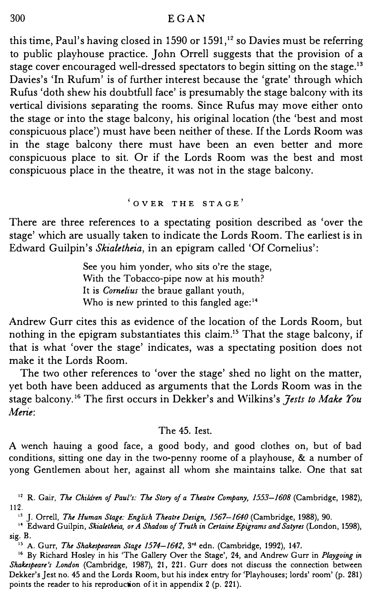this time, Paul's having closed in 1590 or 1591,<sup>12</sup> so Davies must be referring to public playhouse practice. John Orrell suggests that the provision of a stage cover encouraged well-dressed spectators to begin sitting on the stage.<sup>13</sup> Davies's 'In Rufum' is of further interest because the 'grate' through which Rufus 'doth shew his doubtfull face' is presumably the stage balcony with its vertical divisions separating the rooms. Since Rufus may move either onto the stage or into the stage balcony, his original location (the 'best and most conspicuous place') must have been neither of these. If the Lords Room was in the stage balcony there must have been an even better and more conspicuous place to sit. Or if the Lords Room was the best and most conspicuous place in the theatre, it was not in the stage balcony.

## ' OVER THE STA GE '

There are three references to a spectating position described as 'over the stage' which are usually taken to indicate the Lords Room. The earliest is in Edward Guilpin's Skialetheia, in an epigram called 'Of Cornelius':

> See you him yonder, who sits o're the stage, With the Tobacco-pipe now at his mouth? It is *Cornelius* the braue gallant youth, Who is new printed to this fangled age:<sup>14</sup>

Andrew Gurr cites this as evidence of the location of the Lords Room, but nothing in the epigram substantiates this claim.15 That the stage balcony, if that is what 'over the stage' indicates, was a spectating position does not make it the Lords Room.

The two other references to 'over the stage' shed no light on the matter, yet both have been adduced as arguments that the Lords Room was in the stage balcony.<sup>16</sup> The first occurs in Dekker's and Wilkins's *Jests to Make You* Merie:

The 45. lest.

A wench hauing a good face, a good body, and good clothes on, but of bad conditions, sitting one day in the two-penny roome of a playhouse, & a number of yong Gentlemen about her, against all whom she maintains talke. One that sat

<sup>12</sup> R. Gair, The Children of Paul's: The Story of a Theatre Company,  $1553-1608$  (Cambridge, 1982), 112.

<sup>13</sup> J. Orrell, *The Human Stage: English Theatre Design, 1567--1640* (Cambridge, 1988), 90.

<sup>14</sup> Edward Guilpin, Skialetheia, or A Shadow of Truth in Certaine Epigrams and Satyres (London, 1598), sig. B.

<sup>15</sup> A. Gurr, *The Shakespearean Stage 1574–1642*, 3<sup>rd</sup> edn. (Cambridge, 1992), 147.

<sup>16</sup> By Richard Hosley in his 'The Gallery Over the Stage', 24, and Andrew Gurr in Playgoing in Shakespeare's London (Cambridge, 1987), 21, 221. Gurr does not discuss the connection between Dekker's Jest no. 45 and the Lords Room, but his index entry for 'Playhouses; lords' room' (p. 281) points the reader to his reproduction of it in appendix 2 (p. 221).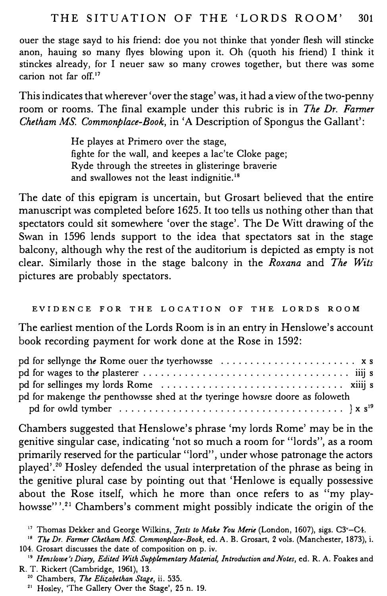ouer the stage sayd to his friend: doe you not thinke that yonder flesh will stincke anon, hauing so many flyes blowing upon it. Oh (quoth his friend) I think it stinckes already, for I neuer saw so many crowes together, but there was some carion not far off.17

This indicates that wherever 'over the stage' was, it had a view of the two-penny room or rooms. The final example under this rubric is in The Dr. Farmer Chetham MS. Commonplace-Book, in 'A Description of Spongus the Gallant':

> He playes at Primero over the stage, fighte for the wall, and keepes a lac'te Cloke page; Ryde through the streetes in glisteringe braverie and swallowes not the least indignitie.<sup>18</sup>

The date of this epigram is uncertain, but Grosart believed that the entire manuscript was completed before 1625. It too tells us nothing other than that spectators could sit somewhere 'over the stage'. The De Witt drawing of the Swan in 1596 lends support to the idea that spectators sat in the stage balcony, although why the rest of the auditorium is depicted as empty is not clear. Similarly those in the stage balcony in the Roxana and The Wits pictures are probably spectators.

#### EVIDENCE FOR THE LOCATION OF THE LORDS ROOM

The earliest mention of the Lords Room is in an entry in Henslowe's account book recording payment for work done at the Rose in 1592:

| pd for makenge the penthowsse shed at the tyeringe howsse doore as foloweth                                            |  |
|------------------------------------------------------------------------------------------------------------------------|--|
| pd for owld tymber $\dots \dots \dots \dots \dots \dots \dots \dots \dots \dots \dots \dots \dots$ } x s <sup>19</sup> |  |

Chambers suggested that Henslowe's phrase 'my lords Rome' may be in the genitive singular case, indicating 'not so much a room for "lords", as a room primarily reserved for the particular "lord", under whose patronage the actors played'. 20 Hosley defended the usual interpretation of the phrase as being in the genitive plural case by pointing out that 'Henlowe is equally possessive about the Rose itself, which he more than once refers to as "my playhowsse"<sup>21</sup> Chambers's comment might possibly indicate the origin of the

<sup>17</sup> Thomas Dekker and George Wilkins, *Jests to Make You Merie* (London, 1607), sigs. C3<sup>y</sup>-C4.

<sup>18</sup> The Dr. Farmer Chetham MS. Commonplace-Book, ed. A. B. Grosart, 2 vols. (Manchester, 1873), i. 104. Grosart discusses the date of composition on p. iv.

<sup>&</sup>lt;sup>19</sup> Henslowe's Diary, Edited With Supplementary Material, Introduction and Notes, ed. R. A. Foakes and R. T. Rickert (Cambridge, 1961), 13.

<sup>&</sup>lt;sup>20</sup> Chambers, The Elizabethan Stage, ii. 535.

<sup>&</sup>lt;sup>21</sup> Hosley, 'The Gallery Over the Stage', 25 n. 19.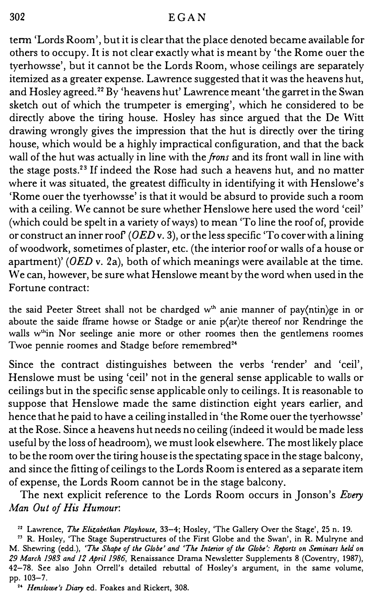term 'Lords Room', but it is clear that the place denoted became available for others to occupy. It is not clear exactly what is meant by 'the Rome ouer the tyerhowsse', but it cannot be the Lords Room, whose ceilings are separately itemized as a greater expense. Lawrence suggested that it was the heavens hut, and Hosley agreed. 22 By 'heavens hut' Lawrence meant 'the garret in the Swan sketch out of which the trumpeter is emerging', which he considered to be directly above the tiring house. Hosley has since argued that the De Witt drawing wrongly gives the impression that the hut is directly over the tiring house, which would be a highly impractical configuration, and that the back wall of the hut was actually in line with the frons and its front wall in line with the stage posts.23 If indeed the Rose had such a heavens hut, and no matter where it was situated, the greatest difficulty in identifying it with Henslowe's 'Rome ouer the tyerhowsse' is that it would be absurd to provide such a room with a ceiling. We cannot be sure whether Henslowe here used the word 'ceil' (which could be spelt in a variety of ways) to mean 'To line the roof of, provide or construct an inner roof  $(OEDv. 3)$ , or the less specific 'To cover with a lining of woodwork, sometimes of plaster, etc. (the interior roof or walls of a house or apartment)' (OED v. 2a), both of which meanings were available at the time. We can, however, be sure what Henslowe meant by the word when used in the Fortune contract:

the said Peeter Street shall not be chardged w<sup>th</sup> anie manner of pay(ntin)ge in or aboute the saide fframe howse or Stadge or anie  $p(a\mathbf{r})$ te thereof nor Rendringe the walls w<sup>th</sup>in Nor seelinge anie more or other roomes then the gentlemens roomes Twoe pennie roomes and Stadge before remembred<sup>24</sup>

Since the contract distinguishes between the verbs 'render' and 'ceil', Henslowe must be using 'ceil' not in the general sense applicable to walls or ceilings but in the specific sense applicable only to ceilings. It is reasonable to suppose that Henslowe made the same distinction eight years earlier, and hence that he paid to have a ceiling installed in 'the Rome ouer the tyerhowsse' at the Rose. Since a heavens hut needs no ceiling (indeed it would be made less useful by the loss of headroom), we must look elsewhere. The most likely place to be the room over the tiring house is the spectating space in the stage balcony, and since the fitting of ceilings to the Lords Room is entered as a separate item of expense, the Lords Room cannot be in the stage balcony.

The next explicit reference to the Lords Room occurs in Jonson's Every Man Out of His Humour:

<sup>22</sup> Lawrence, The Elizabethan Playhouse, 33-4; Hosley, 'The Gallery Over the Stage', 25 n. 19. <sup>23</sup> R. Hosley, 'The Stage Superstructures of the First Globe and the Swan', in R. Mulryne and M. Shewring (edd.), 'The Shape of the Globe' and 'The Interior of the Globe': Reports on Seminars held on 29 March 1983 and 12 April 1986, Renaissance Drama Newsletter Supplements 8 (Coventry, 1987), 42-78. See also John Orrell's detailed rebuttal of Hosley's argument, in the same volume, pp. 103-7.

<sup>24</sup> Henslowe's Diary ed. Foakes and Rickert, 308.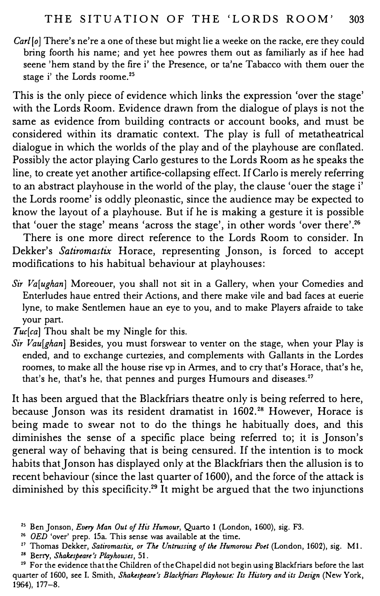Carl[o] There's ne're a one of these but might lie a weeke on the racke, ere they could bring foorth his name; and yet hee powres them out as familiarly as if hee had seene 'hem stand by the fire i' the Presence, or ta'ne Tabacco with them ouer the stage i' the Lords roome.<sup>25</sup>

This is the only piece of evidence which links the expression 'over the stage' with the Lords Room. Evidence drawn from the dialogue of plays is not the same as evidence from building contracts or account books, and must be considered within its dramatic context. The play is full of metatheatrical dialogue in which the worlds of the play and of the playhouse are conflated. Possibly the actor playing Carlo gestures to the Lords Room as he speaks the line, to create yet another artifice-collapsing effect. If Carlo is merely referring to an abstract playhouse in the world of the play, the clause 'ouer the stage i' the Lords roome' is oddly pleonastic, since the audience may be expected to know the layout of a playhouse. But if he is making a gesture it is possible that 'ouer the stage' means 'across the stage', in other words 'over there'.<sup>26</sup>

There is one more direct reference to the Lords Room to consider. In Dekker's Satiromastix Horace, representing Jonson, is forced to accept modifications to his habitual behaviour at playhouses:

- Sir Va[ughan] Moreouer, you shall not sit in a Gallery, when your Comedies and Enterludes haue entred their Actions, and there make vile and bad faces at euerie lyne, to make Sentlemen haue an eye to you, and to make Players afraide to take your part.
- $Tuc[ca]$  Thou shalt be my Ningle for this.
- Sir Vau[ghan] Besides, you must forswear to venter on the stage, when your Play is ended, and to exchange curtezies, and complements with Gallants in the Lordes roomes, to make all the house rise vp in Armes, and to cry that's Horace, that's he, that's he, that's he, that pennes and purges Humours and diseases.<sup>27</sup>

It has been argued that the Blackfriars theatre only is being referred to here, because Jonson was its resident dramatist in 1602.<sup>28</sup> However, Horace is being made to swear not to do the things he habitually does, and this diminishes the sense of a specific place being referred to; it is Jonson's general way of behaving that is being censured. If the intention is to mock habits that Jonson has displayed only at the Blackfriars then the allusion is to recent behaviour (since the last quarter of 1600), and the force of the attack is diminished by this specificity.<sup>29</sup> It might be argued that the two injunctions

<sup>&</sup>lt;sup>25</sup> Ben Jonson, Every Man Out of His Humour, Quarto 1 (London, 1600), sig. F3.

 $26$  OED 'over' prep. 15a. This sense was available at the time.

<sup>&</sup>lt;sup>27</sup> Thomas Dekker, Satiromastix, or The Untrussing of the Humorous Poet (London, 1602), sig. M1. <sup>28</sup> Berry, Shakespeare's Playhouses, 51.

 $29$  For the evidence that the Children of the Chapel did not begin using Blackfriars before the last quarter of 1600, see I. Smith, Shakespeare's Blackfriars Playhouse: Its History and its Design (New York, 1964), 177-8.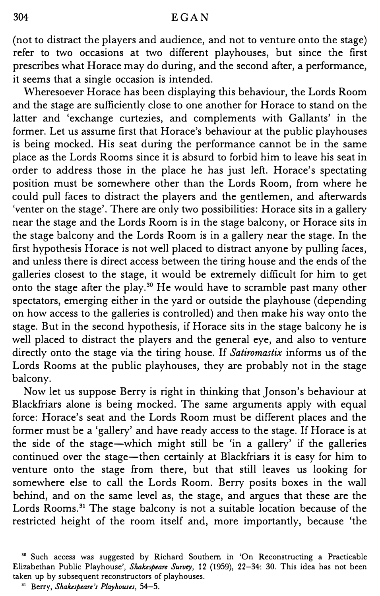(not to distract the players and audience, and not to venture onto the stage) refer to two occasions at two different playhouses, but since the first prescribes what Horace may do during, and the second after, a performance, it seems that a single occasion is intended.

Wheresoever Horace has been displaying this behaviour, the Lords Room and the stage are sufficiently close to one another for Horace to stand on the latter and 'exchange curtezies, and complements with Gallants' in the former. Let us assume first that Horace's behaviour at the public playhouses is being mocked. His seat during the performance cannot be in the same place as the Lords Rooms since it is absurd to forbid him to leave his seat in order to address those in the place he has just left. Horace's spectating position must be somewhere other than the Lords Room, from where he could pull faces to distract the players and the gentlemen, and afterwards 'venter on the stage'. There are only two possibilities: Horace sits in a gallery near the stage and the Lords Room is in the stage balcony, or Horace sits in the stage balcony and the Lords Room is in a gallery near the stage. In the first hypothesis Horace is not well placed to distract anyone by pulling faces, and unless there is direct access between the tiring house and the ends of the galleries closest to the stage, it would be extremely difficult for him to get onto the stage after the play. 30 He would have to scramble past many other spectators, emerging either in the yard or outside the playhouse (depending on how access to the galleries is controlled) and then make his way onto the stage. But in the second hypothesis, if Horace sits in the stage balcony he is well placed to distract the players and the general eye, and also to venture directly onto the stage via the tiring house. If Satiromastix informs us of the Lords Rooms at the public playhouses, they are probably not in the stage balcony.

Now let us suppose Berry is right in thinking that Jonson's behaviour at Blackfriars alone is being mocked. The same arguments apply with equal force: Horace's seat and the Lords Room must be different places and the former must be a 'gallery' and have ready access to the stage. If Horace is at the side of the stage-which might still be 'in a gallery' if the galleries continued over the stage-then certainly at Blackfriars it is easy for him to venture onto the stage from there, but that still leaves us looking for somewhere else to call the Lords Room. Berry posits boxes in the wall behind, and on the same level as, the stage, and argues that these are the Lords Rooms.<sup>31</sup> The stage balcony is not a suitable location because of the restricted height of the room itself and, more importantly, because 'the

<sup>&</sup>lt;sup>30</sup> Such access was suggested by Richard Southern in 'On Reconstructing a Practicable Elizabethan Public Playhouse', Shakespeare Survey, 12 (1959), 22-34: 30. This idea has not been taken up by subsequent reconstructors of playhouses.

<sup>&</sup>lt;sup>31</sup> Berry, Shakespeare's Playhouses, 54-5.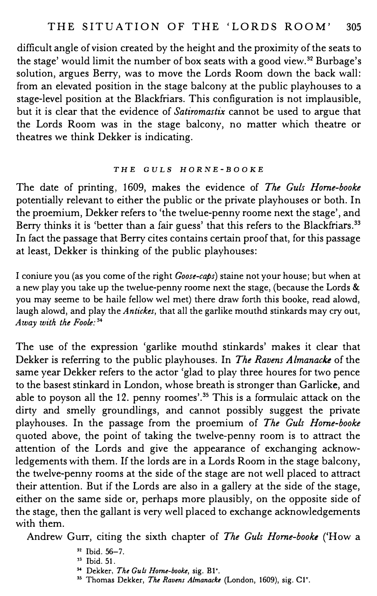difficult angle of vision created by the height and the proximity of the seats to the stage' would limit the number of box seats with a good view.<sup>32</sup> Burbage's solution, argues Berry, was to move the Lords Room down the back wall: from an elevated position in the stage balcony at the public playhouses to a stage-level position at the Blackfriars. This configuration is not implausible, but it is clear that the evidence of Satiromastix cannot be used to argue that the Lords Room was in the stage balcony, no matter which theatre or theatres we think Dekker is indicating.

#### THE GULS HORNE-BOOKE

The date of printing, 1609, makes the evidence of The Guls Horne-booke potentially relevant to either the public or the private playhouses or both. In the proemium, Dekker refers to 'the twelue-penny roome next the stage', and Berry thinks it is 'better than a fair guess' that this refers to the Blackfriars.<sup>33</sup> In fact the passage that Berry cites contains certain proof that, for this passage at least, Dekker is thinking of the public playhouses:

I coniure you (as you come of the right Goose-caps) staine not your house; but when at a new play you take up the twelue-penny roome next the stage, (because the Lords & you may seeme to be haile fellow we! met) there draw forth this booke, read alowd, laugh alowd, and play the Antickes, that all the garlike mouthd stinkards may cry out, Away with the Foole: 34

The use of the expression 'garlike mouthd stinkards' makes it clear that Dekker is referring to the public playhouses. In The Ravens Almanacke of the same year Dekker refers to the actor 'glad to play three houres for two pence to the basest stinkard in London, whose breath is stronger than Garlicke, and able to poyson all the 12. penny roomes'.<sup>35</sup> This is a formulaic attack on the dirty and smelly groundlings, and cannot possibly suggest the private playhouses. In the passage from the proemium of The Guls Home-booke quoted above, the point of taking the twelve-penny room is to attract the attention of the Lords and give the appearance of exchanging acknowledgements with them. If the lords are in a Lords Room in the stage balcony, the twelve-penny rooms at the side of the stage are not well placed to attract their attention. But if the Lords are also in a gallery at the side of the stage, either on the same side or, perhaps more plausibly, on the opposite side of the stage, then the gallant is very well placed to exchange acknowledgements with them.

Andrew Gurr, citing the sixth chapter of The Guls Horne-booke ('How a

- 33 Ibid. 51.
- <sup>34</sup> Dekker, The Guls Horne-booke, sig. B1'.
- <sup>35</sup> Thomas Dekker, The Ravens Almanacke (London, 1609), sig. C1'.

 $32$  Ibid.  $56-7$ .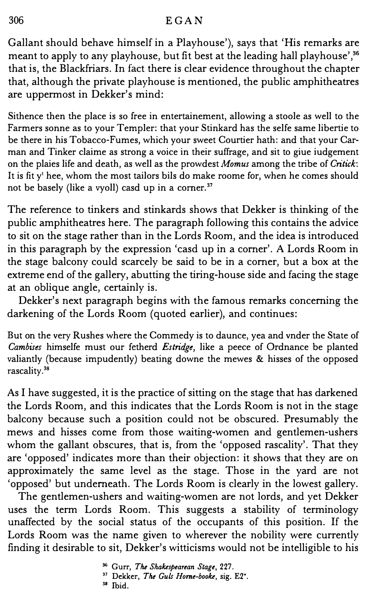Gallant should behave himself in a Playhouse'), says that 'His remarks are meant to apply to any playhouse, but fit best at the leading hall playhouse',<sup>36</sup> that is, the Blackfriars. In fact there is clear evidence throughout the chapter that, although the private playhouse is mentioned, the public amphitheatres are uppermost in Dekker's mind:

Sithence then the place is so free in entertainement, allowing a stoole as well to the Farmers sonne as to your Templer: that your Stinkard has the selfe same libertie to be there in his Tobacco-Fumes, which your sweet Courtier hath: and that your Carman and Tinker claime as strong a voice in their suffrage, and sit to giue iudgement on the plaies life and death, as well as the prowdest Momus among the tribe of Critick: It is fit y' hee, whom the most tailors bils do make roome for, when he comes should not be basely (like a vyoll) casd up in a corner.<sup>37</sup>

The reference to tinkers and stinkards shows that Dekker is thinking of the public amphitheatres here. The paragraph following this contains the advice to sit on the stage rather than in the Lords Room, and the idea is introduced in this paragraph by the expression 'casd up in a comer'. A Lords Room in the stage balcony could scarcely be said to be in a comer, but a box at the extreme end of the gallery, abutting the tiring-house side and facing the stage at an oblique angle, certainly is.

Dekker's next paragraph begins with the famous remarks concerning the darkening of the Lords Room (quoted earlier), and continues:

But on the very Rushes where the Commedy is to daunce, yea and vnder the State of Cambises himselfe must our fetherd Estridge, like a peece of Ordnance be planted valiantly (because impudently) beating downe the mewes & hisses of the opposed rascality.38

As I have suggested, it is the practice of sitting on the stage that has darkened the Lords Room, and this indicates that the Lords Room is not in the stage balcony because such a position could not be obscured. Presumably the mews and hisses come from those waiting-women and gentlemen-ushers whom the gallant obscures, that is, from the 'opposed rascality'. That they are 'opposed' indicates more than their objection: it shows that they are on approximately the same level as the stage. Those in the yard are not 'opposed' but underneath. The Lords Room is clearly in the lowest gallery.

The gentlemen-ushers and waiting-women are not lords, and yet Dekker uses the term Lords Room. This suggests a stability of terminology unaffected by the social status of the occupants of this position. If the Lords Room was the name given to wherever the nobility were currently finding it desirable to sit, Dekker's witticisms would not be intelligible to his

<sup>&</sup>lt;sup>36</sup> Gurr, The Shakespearean Stage, 227.

<sup>&</sup>lt;sup>37</sup> Dekker, The Guls Horne-booke, sig. E2<sup>v</sup>.

<sup>38</sup> Ibid.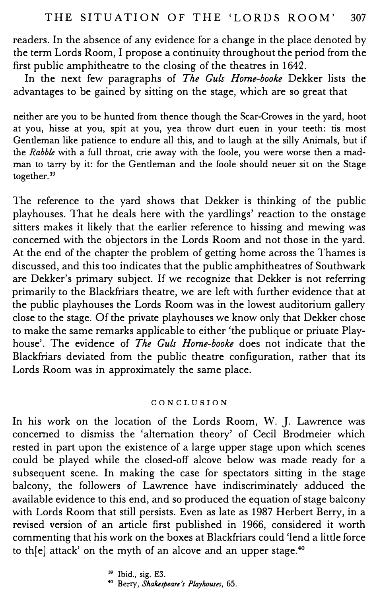readers. In the absence of any evidence for a change in the place denoted by the term Lords Room, I propose a continuity throughout the period from the first public amphitheatre to the closing of the theatres in 1642.

In the next few paragraphs of The Guls Home-booke Dekker lists the advantages to be gained by sitting on the stage, which are so great that

neither are you to be hunted from thence though the Scar-Crowes in the yard, hoot at you, hisse at you, spit at you, yea throw durt euen in your teeth: tis most Gentleman like patience to endure all this, and to laugh at the silly Animals, but if the Rabble with a full throat, crie away with the foole, you were worse then a madman to tarry by it: for the Gentleman and the foole should neuer sit on the Stage together.<sup>39</sup>

The reference to the yard shows that Dekker is thinking of the public playhouses. That he deals here with the yardlings' reaction to the onstage sitters makes it likely that the earlier reference to hissing and mewing was concerned with the objectors in the Lords Room and not those in the yard. At the end of the chapter the problem of getting home across the Thames is discussed, and this too indicates that the public amphitheatres of Southwark are Dekker's primary subject. If we recognize that Dekker is not referring primarily to the Blackfriars theatre, we are left with further evidence that at the public playhouses the Lords Room was in the lowest auditorium gallery close to the stage. Of the private playhouses we know only that Dekker chose to make the same remarks applicable to either 'the publique or priuate Playhouse'. The evidence of The Guls Horne-booke does not indicate that the Blackfriars deviated from the public theatre configuration, rather that its Lords Room was in approximately the same place.

#### CONCLUSION

In his work on the location of the Lords Room, W. J. Lawrence was concerned to dismiss the 'alternation theory' of Cecil Brodmeier which rested in part upon the existence of a large upper stage upon which scenes could be played while the closed-off alcove below was made ready for a subsequent scene. In making the case for spectators sitting in the stage balcony, the followers of Lawrence have indiscriminately adduced the available evidence to this end, and so produced the equation of stage balcony with Lords Room that still persists. Even as late as 1987 Herbert Berry, in a revised version of an article first published in 1966, considered it worth commenting that his work on the boxes at Blackfriars could 'lend a little force to th[e] attack' on the myth of an alcove and an upper stage. $40$ 

> 39 Ibid., sig. E3. "' Berry, Shakespeare's Playhouses, 65.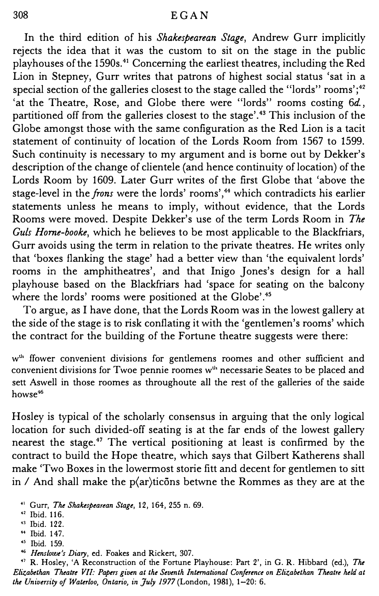In the third edition of his Shakespearean Stage, Andrew Gurr implicitly rejects the idea that it was the custom to sit on the stage in the public playhouses of the 1590s.41 Concerning the earliest theatres, including the Red Lion in Stepney, Gurr writes that patrons of highest social status 'sat in a special section of the galleries closest to the stage called the "lords" rooms';<sup>42</sup> 'at the Theatre, Rose, and Globe there were "lords" rooms costing 6d. , partitioned off from the galleries closest to the stage'. 43 This inclusion of the Globe amongst those with the same configuration as the Red Lion is a tacit statement of continuity of location of the Lords Room from 1567 to 1599. Such continuity is necessary to my argument and is borne out by Dekker's description of the change of clientele (and hence continuity of location) of the Lords Room by 1609. Later Gurr writes of the first Globe that 'above the stage-level in the frons were the lords' rooms',<sup>44</sup> which contradicts his earlier statements unless he means to imply, without evidence, that the Lords Rooms were moved. Despite Dekker's use of the term Lords Room in The Guls Horne-booke, which he believes to be most applicable to the Blackfriars, Gurr avoids using the term in relation to the private theatres. He writes only that 'boxes flanking the stage' had a better view than 'the equivalent lords' rooms in the amphitheatres', and that Inigo Jones's design for a hall playhouse based on the Blackfriars had 'space for seating on the balcony where the lords' rooms were positioned at the Globe'.<sup>45</sup>

To argue, as I have done, that the Lords Room was in the lowest gallery at the side of the stage is to risk conflating it with the 'gentlemen's rooms' which the contract for the building of the Fortune theatre suggests were there:

w<sup>th</sup> ffower convenient divisions for gentlemens roomes and other sufficient and convenient divisions for Twoe pennie roomes w<sup>th</sup> necessarie Seates to be placed and sett Aswell in those roomes as throughoute all the rest of the galleries of the saide howse46

Hosley is typical of the scholarly consensus in arguing that the only logical location for such divided-off seating is at the far ends of the lowest gallery nearest the stage. 47 The vertical positioning at least is confirmed by the contract to build the Hope theatre, which says that Gilbert Katherens shall make 'Two Boxes in the lowermost storie fitt and decent for gentlemen to sitt in  $\ell$  And shall make the p(ar)ticons betwne the Rommes as they are at the

<sup>47</sup> R. Hosley, 'A Reconstruction of the Fortune Playhouse: Part 2', in G. R. Hibbard (ed.), The Elizabethan Theatre VII: Papers given at the Seventh International Conference on Elizabethan Theatre held at the University of Waterloo, Ontario, in July 1977 (London, 1981), 1-20: 6.

<sup>&</sup>quot; Gurr, The Shakespearean Stage, 12, 164, 255 n. 69.

<sup>42</sup>Ibid. 116.

<sup>43</sup>Ibid. 122.

<sup>&</sup>lt;sup>44</sup> Ibid. 147.

<sup>45</sup>Ibid. 159.

<sup>&</sup>lt;sup>46</sup> Henslowe's Diary, ed. Foakes and Rickert, 307.